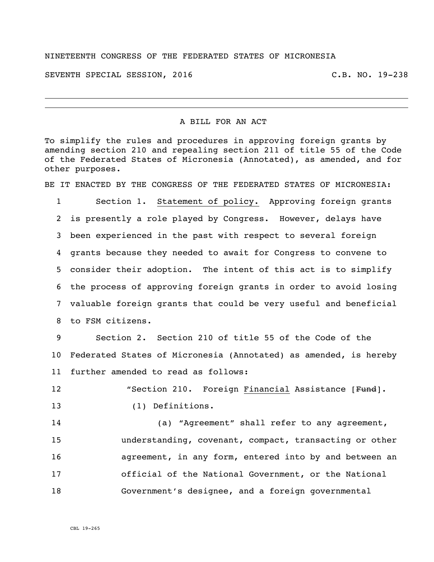## NINETEENTH CONGRESS OF THE FEDERATED STATES OF MICRONESIA

SEVENTH SPECIAL SESSION, 2016 C.B. NO. 19-238

## A BILL FOR AN ACT

To simplify the rules and procedures in approving foreign grants by amending section 210 and repealing section 211 of title 55 of the Code of the Federated States of Micronesia (Annotated), as amended, and for other purposes.

BE IT ENACTED BY THE CONGRESS OF THE FEDERATED STATES OF MICRONESIA:

 Section 1. Statement of policy. Approving foreign grants is presently a role played by Congress. However, delays have been experienced in the past with respect to several foreign grants because they needed to await for Congress to convene to consider their adoption. The intent of this act is to simplify the process of approving foreign grants in order to avoid losing valuable foreign grants that could be very useful and beneficial to FSM citizens.

 Section 2. Section 210 of title 55 of the Code of the Federated States of Micronesia (Annotated) as amended, is hereby further amended to read as follows:

12 The Section 210. Foreign Financial Assistance [Fund].

(1) Definitions.

 (a) "Agreement" shall refer to any agreement, understanding, covenant, compact, transacting or other agreement, in any form, entered into by and between an official of the National Government, or the National Government's designee, and a foreign governmental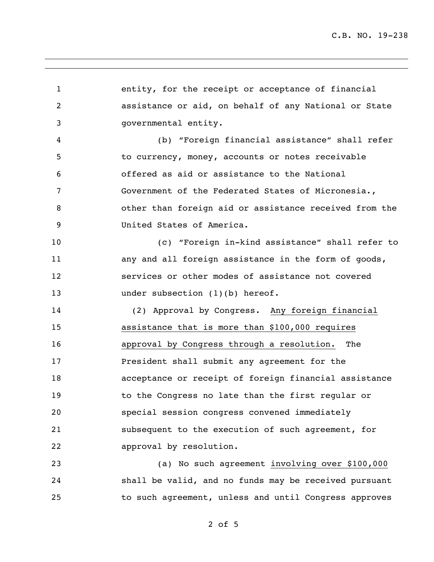C.B. NO. 19-238

 entity, for the receipt or acceptance of financial assistance or aid, on behalf of any National or State governmental entity. (b) "Foreign financial assistance" shall refer to currency, money, accounts or notes receivable offered as aid or assistance to the National Government of the Federated States of Micronesia., other than foreign aid or assistance received from the United States of America. (c) "Foreign in-kind assistance" shall refer to 11 any and all foreign assistance in the form of goods, services or other modes of assistance not covered 13 under subsection (1)(b) hereof. (2) Approval by Congress. Any foreign financial assistance that is more than \$100,000 requires approval by Congress through a resolution. The President shall submit any agreement for the acceptance or receipt of foreign financial assistance to the Congress no late than the first regular or special session congress convened immediately subsequent to the execution of such agreement, for approval by resolution. (a) No such agreement involving over \$100,000 shall be valid, and no funds may be received pursuant to such agreement, unless and until Congress approves

of 5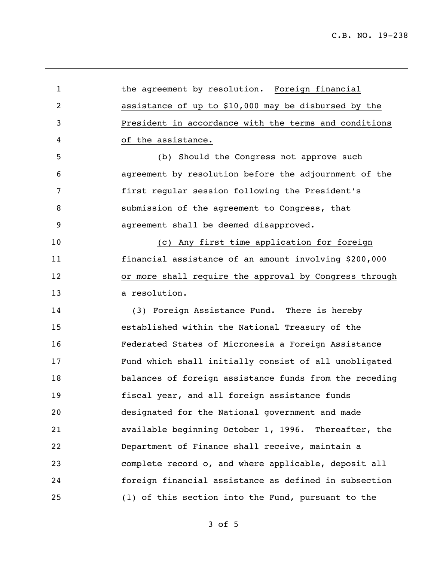the agreement by resolution. Foreign financial assistance of up to \$10,000 may be disbursed by the President in accordance with the terms and conditions of the assistance. (b) Should the Congress not approve such agreement by resolution before the adjournment of the first regular session following the President's submission of the agreement to Congress, that agreement shall be deemed disapproved. (c) Any first time application for foreign financial assistance of an amount involving \$200,000 or more shall require the approval by Congress through a resolution. (3) Foreign Assistance Fund. There is hereby established within the National Treasury of the Federated States of Micronesia a Foreign Assistance Fund which shall initially consist of all unobligated balances of foreign assistance funds from the receding fiscal year, and all foreign assistance funds designated for the National government and made available beginning October 1, 1996. Thereafter, the Department of Finance shall receive, maintain a complete record o, and where applicable, deposit all foreign financial assistance as defined in subsection (1) of this section into the Fund, pursuant to the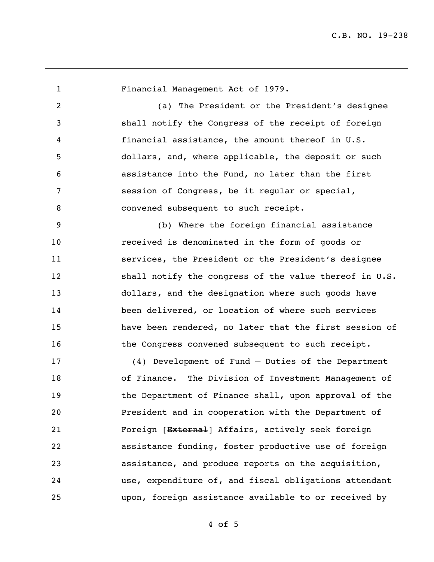Financial Management Act of 1979. (a) The President or the President's designee shall notify the Congress of the receipt of foreign financial assistance, the amount thereof in U.S. dollars, and, where applicable, the deposit or such assistance into the Fund, no later than the first session of Congress, be it regular or special, 8 convened subsequent to such receipt. (b) Where the foreign financial assistance received is denominated in the form of goods or services, the President or the President's designee 12 shall notify the congress of the value thereof in U.S. dollars, and the designation where such goods have been delivered, or location of where such services have been rendered, no later that the first session of 16 the Congress convened subsequent to such receipt. (4) Development of Fund – Duties of the Department of Finance. The Division of Investment Management of 19 the Department of Finance shall, upon approval of the President and in cooperation with the Department of 21 Foreign [External] Affairs, actively seek foreign assistance funding, foster productive use of foreign assistance, and produce reports on the acquisition, use, expenditure of, and fiscal obligations attendant upon, foreign assistance available to or received by